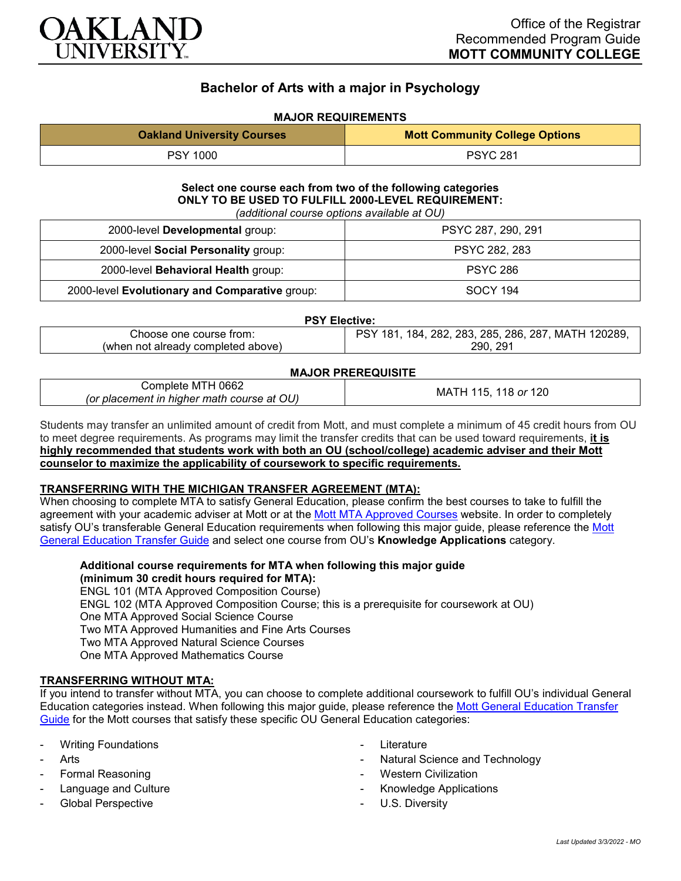

# **Bachelor of Arts with a major in Psychology**

# **MAJOR REQUIREMENTS**

| <b>Oakland University Courses</b> | <b>Mott Community College Options</b> |
|-----------------------------------|---------------------------------------|
| <b>PSY 1000</b>                   | <b>PSYC 281</b>                       |

# **Select one course each from two of the following categories ONLY TO BE USED TO FULFILL 2000-LEVEL REQUIREMENT:**

| (additional course options available at OU) |  |
|---------------------------------------------|--|
|---------------------------------------------|--|

| 2000-level Developmental group:                | PSYC 287, 290, 291 |  |
|------------------------------------------------|--------------------|--|
| 2000-level Social Personality group:           | PSYC 282, 283      |  |
| 2000-level Behavioral Health group:            | <b>PSYC 286</b>    |  |
| 2000-level Evolutionary and Comparative group: | <b>SOCY 194</b>    |  |

#### **PSY Elective:**

| trom:<br>course<br>:hoose<br>one        | 120289<br>287<br>. MAT'<br>286.<br>285.<br>283<br>282<br>184<br>. I H .<br>־או |
|-----------------------------------------|--------------------------------------------------------------------------------|
| already completed<br>(when not<br>above | 291<br>290                                                                     |
|                                         |                                                                                |

#### **MAJOR PREREQUISITE**

|                                            | ---                    |
|--------------------------------------------|------------------------|
| 0662<br>;omplete<br>-M I<br>-              | 120<br>МA<br>15.<br>or |
| (or placement in higher math course at OU) | $\cdot$ I $\Gamma$     |

Students may transfer an unlimited amount of credit from Mott, and must complete a minimum of 45 credit hours from OU to meet degree requirements. As programs may limit the transfer credits that can be used toward requirements, **it is highly recommended that students work with both an OU (school/college) academic adviser and their Mott counselor to maximize the applicability of coursework to specific requirements.**

# **TRANSFERRING WITH THE MICHIGAN TRANSFER AGREEMENT (MTA):**

When choosing to complete MTA to satisfy General Education, please confirm the best courses to take to fulfill the agreement with your academic adviser at Mott or at the Mott [MTA Approved Courses](https://www.mcc.edu/counseling_student_dev/casd_mi_transfer_agreement.shtml) website. In order to completely satisfy OU's transferable General Education requirements when following this major guide, please reference the Mott [General Education Transfer Guide](https://www.oakland.edu/Assets/Oakland/program-guides/mott-community-college/university-general-education-requirements/Mott%20Gen%20Ed.pdf) and select one course from OU's **Knowledge Applications** category.

**Additional course requirements for MTA when following this major guide (minimum 30 credit hours required for MTA):** ENGL 101 (MTA Approved Composition Course) ENGL 102 (MTA Approved Composition Course; this is a prerequisite for coursework at OU) One MTA Approved Social Science Course Two MTA Approved Humanities and Fine Arts Courses Two MTA Approved Natural Science Courses One MTA Approved Mathematics Course

# **TRANSFERRING WITHOUT MTA:**

If you intend to transfer without MTA, you can choose to complete additional coursework to fulfill OU's individual General Education categories instead. When following this major guide, please reference the [Mott General Education Transfer](https://www.oakland.edu/Assets/Oakland/program-guides/mott-community-college/university-general-education-requirements/Mott%20Gen%20Ed.pdf)  [Guide](https://www.oakland.edu/Assets/Oakland/program-guides/mott-community-college/university-general-education-requirements/Mott%20Gen%20Ed.pdf) for the Mott courses that satisfy these specific OU General Education categories:

- **Writing Foundations**
- **Arts**
- Formal Reasoning
- Language and Culture
- Global Perspective
- **Literature**
- Natural Science and Technology
- Western Civilization
- Knowledge Applications
- U.S. Diversity